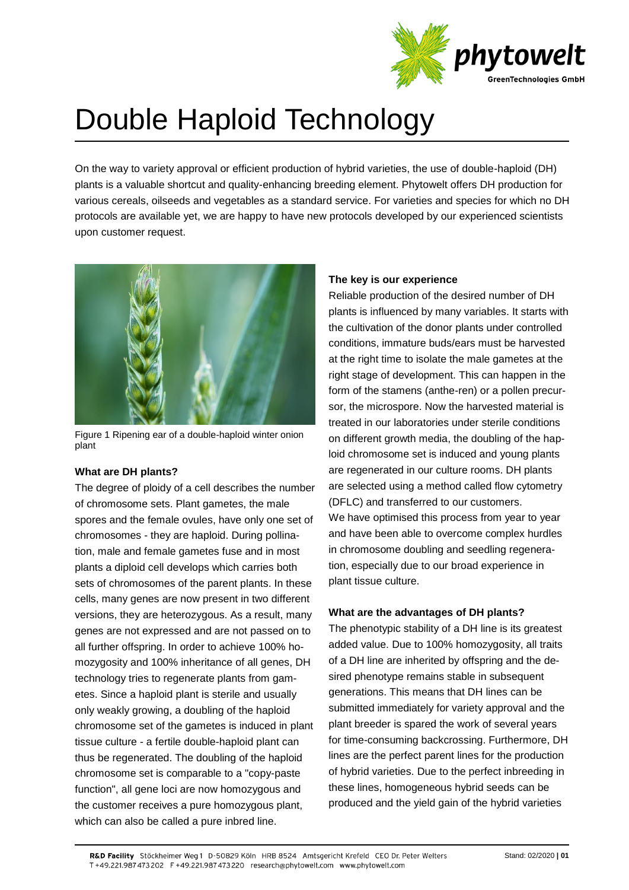

# Double Haploid Technology

On the way to variety approval or efficient production of hybrid varieties, the use of double-haploid (DH) plants is a valuable shortcut and quality-enhancing breeding element. Phytowelt offers DH production for various cereals, oilseeds and vegetables as a standard service. For varieties and species for which no DH protocols are available yet, we are happy to have new protocols developed by our experienced scientists upon customer request.



Figure 1 Ripening ear of a double-haploid winter onion plant

#### **What are DH plants?**

The degree of ploidy of a cell describes the number of chromosome sets. Plant gametes, the male spores and the female ovules, have only one set of chromosomes - they are haploid. During pollination, male and female gametes fuse and in most plants a diploid cell develops which carries both sets of chromosomes of the parent plants. In these cells, many genes are now present in two different versions, they are heterozygous. As a result, many genes are not expressed and are not passed on to all further offspring. In order to achieve 100% homozygosity and 100% inheritance of all genes, DH technology tries to regenerate plants from gametes. Since a haploid plant is sterile and usually only weakly growing, a doubling of the haploid chromosome set of the gametes is induced in plant tissue culture - a fertile double-haploid plant can thus be regenerated. The doubling of the haploid chromosome set is comparable to a "copy-paste function", all gene loci are now homozygous and the customer receives a pure homozygous plant, which can also be called a pure inbred line.

#### **The key is our experience**

Reliable production of the desired number of DH plants is influenced by many variables. It starts with the cultivation of the donor plants under controlled conditions, immature buds/ears must be harvested at the right time to isolate the male gametes at the right stage of development. This can happen in the form of the stamens (anthe-ren) or a pollen precursor, the microspore. Now the harvested material is treated in our laboratories under sterile conditions on different growth media, the doubling of the haploid chromosome set is induced and young plants are regenerated in our culture rooms. DH plants are selected using a method called flow cytometry (DFLC) and transferred to our customers. We have optimised this process from year to year and have been able to overcome complex hurdles in chromosome doubling and seedling regeneration, especially due to our broad experience in plant tissue culture.

#### **What are the advantages of DH plants?**

The phenotypic stability of a DH line is its greatest added value. Due to 100% homozygosity, all traits of a DH line are inherited by offspring and the desired phenotype remains stable in subsequent generations. This means that DH lines can be submitted immediately for variety approval and the plant breeder is spared the work of several years for time-consuming backcrossing. Furthermore, DH lines are the perfect parent lines for the production of hybrid varieties. Due to the perfect inbreeding in these lines, homogeneous hybrid seeds can be produced and the yield gain of the hybrid varieties